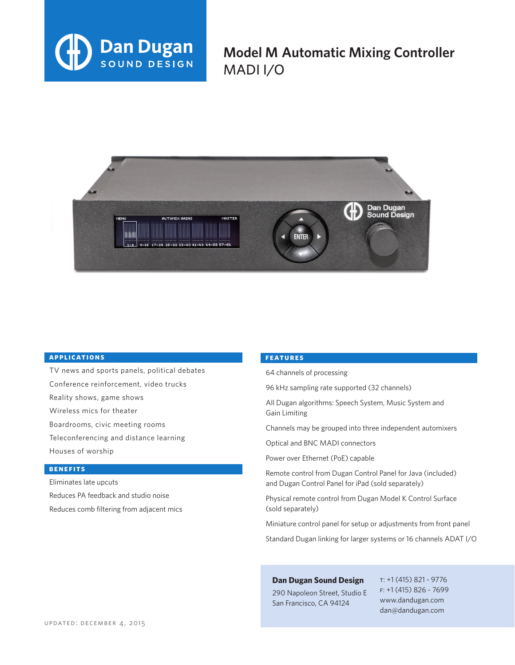

**Model M Automatic Mixing Controller** MADI I/O



## **applications**

TV news and sports panels, political debates Conference reinforcement, video trucks Reality shows, game shows Wireless mics for theater Boardrooms, civic meeting rooms Teleconferencing and distance learning Houses of worship

### **benefits**

Eliminates late upcuts Reduces PA feedback and studio noise Reduces comb filtering from adjacent mics

#### **features**

64 channels of processing

96 kHz sampling rate supported (32 channels)

All Dugan algorithms: Speech System, Music System and Gain Limiting

Channels may be grouped into three independent automixers

Optical and BNC MADI connectors

Power over Ethernet (PoE) capable

Remote control from Dugan Control Panel for Java (included) and Dugan Control Panel for iPad (sold separately)

Physical remote control from Dugan Model K Control Surface (sold separately)

Miniature control panel for setup or adjustments from front panel

Standard Dugan linking for larger systems or 16 channels ADAT I/O

# **Dan Dugan Sound Design**

290 Napoleon Street, Studio E San Francisco, CA 94124

t: +1 (415) 821 - 9776 f: +1 (415) 826 - 7699 www.dandugan.com dan@dandugan.com